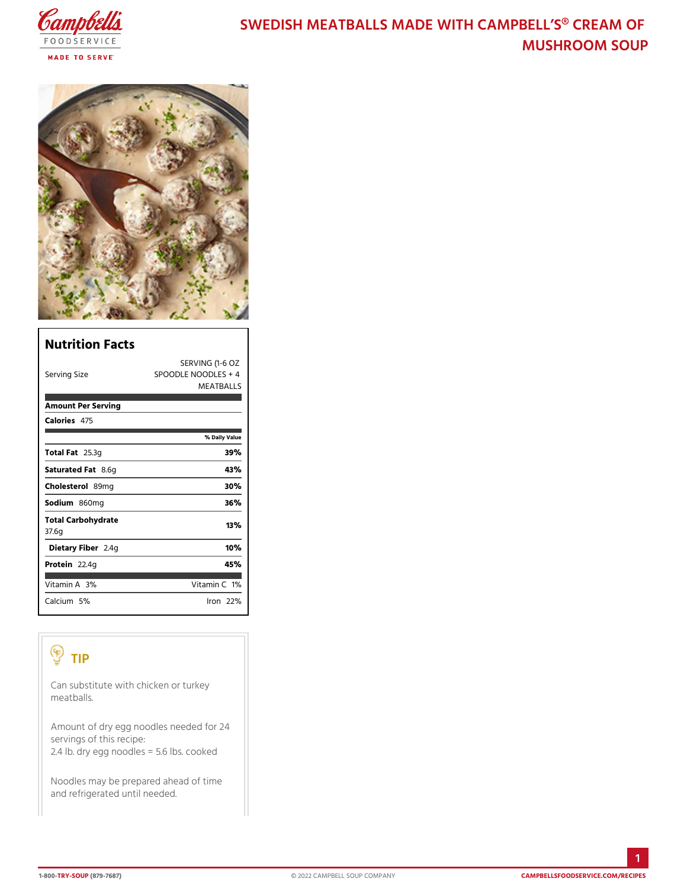# SWEDISH MEATBALLS MADE WITH CAMPE MUSHROOM SO

| Nutrition Facts             |                                                            |
|-----------------------------|------------------------------------------------------------|
| Serving Size                | SERVING (1-6 OZ<br>SPOODLE NOODLES + 4<br><b>MEATBALLS</b> |
| Amount Per Serving          |                                                            |
| Calorie4s75                 |                                                            |
|                             | % Daily Value                                              |
| Total F285.3g               | 39%                                                        |
| Saturated 8F.&fg            | 43%                                                        |
| Choleste 8 om g             | 30%                                                        |
| Sodium&60mg                 | 36%                                                        |
| Total Carbohydrate<br>37.6g | 13%                                                        |
| Dietary F2ib4egr            | 10%                                                        |
| Protei <sub>2.4g</sub>      | 45%                                                        |
| Vitamin3A%                  | Vitamin1 <b>%</b>                                          |
| Calciu5m%                   | lron 22 %                                                  |

# TIP

| Can substitute with chicken or turkey<br>meatballs.                                                                         |
|-----------------------------------------------------------------------------------------------------------------------------|
| Amount of dry egg noodles needed for 24<br>servings of this recipe:<br>2.4 lb. dry egg noodles = $5^{\circ}$ .6 lbs. cooked |
| Noodles may be prepared ahead of time<br>and refrigerated until needed.                                                     |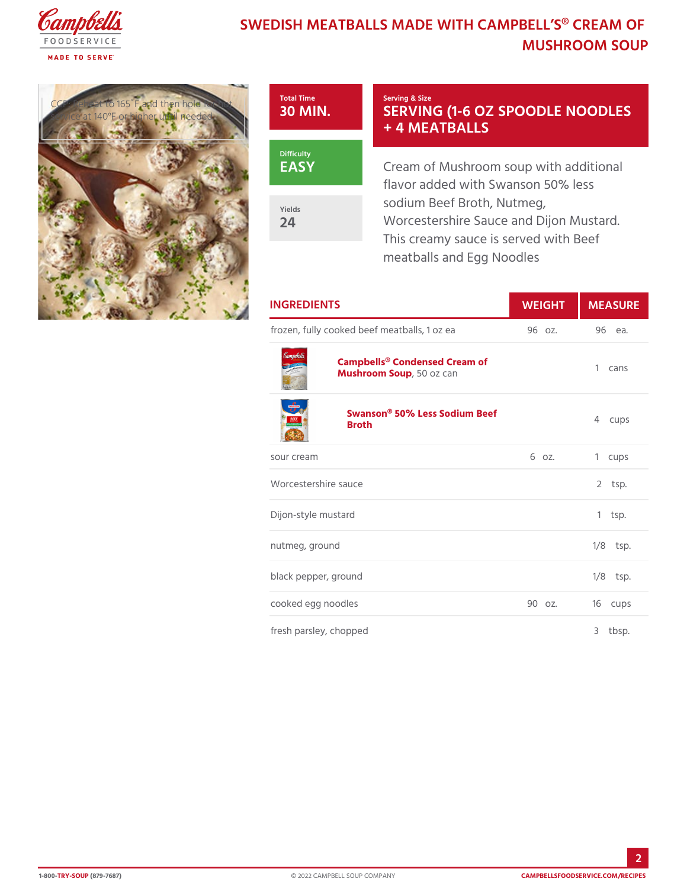## SWEDISH MEATBALLS MADE WITH CAMPE MUSHROOM SO

CCP: Reheat to 165UF annual the  $\overline{Q}$   $\overline{M}$   $\overline{M}$ service at 140°F or higher unt



### Serving & Size SERVING (1-6 OZ SPOOD + 4 MEATBALLS

Cream of Mushroom soup with a flavor added with Swanson  $50\%$ sodium Beef Broth, Nutmeg, Worcestershire Sauce and Dijor This creamy sauce is served wi meatballs and Egg Noodles

| <b>INGREDIENTS</b>                                   | WEIGH MEASU |            |
|------------------------------------------------------|-------------|------------|
| frozen, fully cooked beef meatballs, 96 oz.ea 96 ea. |             |            |
| Campbells® Condensed Cream of<br>Mushroom S50poz can |             | 1 $cans$   |
| Swanson® 50% Less Sodium Beef<br><b>Broth</b>        |             | 4 cups     |
| sour cream                                           | 6 oz.       | 1 cups     |
| Worcestershire sauce                                 |             | $2$ tsp.   |
| Dijon-style mustard                                  |             | $1$ tsp.   |
| nutmeg, ground                                       |             | $1/8$ tsp. |
| black pepper, ground                                 |             | $1/8$ tsp. |
| cooked egg noodles                                   | 90 oz.      | 16 cups    |
| fresh parsley, chopped                               |             | 3<br>tbsp. |